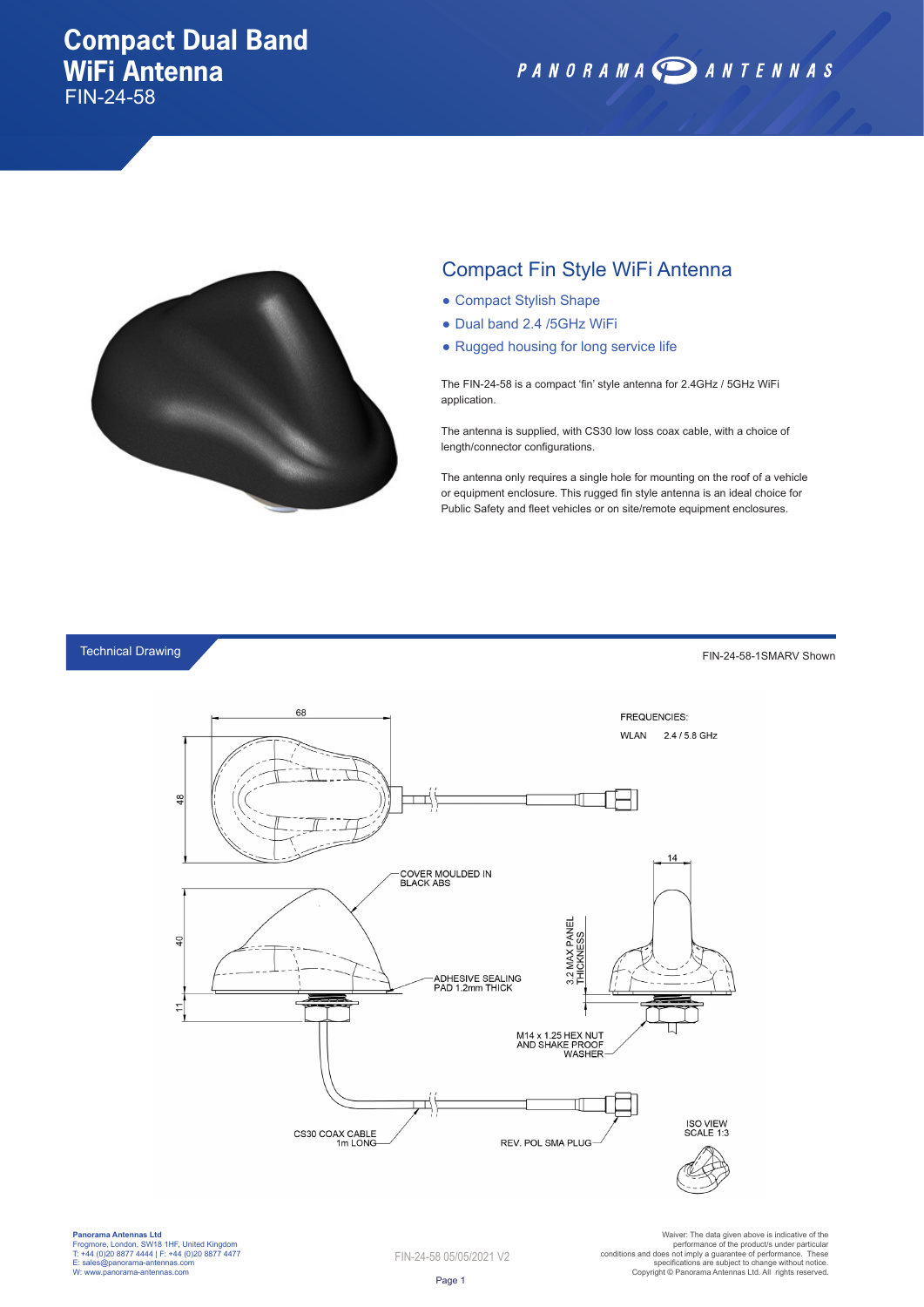## **Compact Dual Band WiFi Antenna**

FIN-24-58





## Compact Fin Style WiFi Antenna

- Compact Stylish Shape
- Dual band 2.4 /5GHz WiFi
- Rugged housing for long service life

The FIN-24-58 is a compact 'fin' style antenna for 2.4GHz / 5GHz WiFi application.

The antenna is supplied, with CS30 low loss coax cable, with a choice of length/connector configurations.

The antenna only requires a single hole for mounting on the roof of a vehicle or equipment enclosure. This rugged fin style antenna is an ideal choice for Public Safety and fleet vehicles or on site/remote equipment enclosures.

Technical Drawing

FIN-24-58-1SMARV Shown



**Panorama Antennas Ltd** Frogmore, London, SW18 1HF, United Kingdom T: +44 (0)20 8877 4444 | F: +44 (0)20 8877 4477 E: sales@panorama-antennas.com W: www.panorama-antennas.com

FIN-24-58 05/05/2021 V2

Warer: The data given above is indicative of the<br>performance of the product/s under particular<br>conditions and does not imply a guarantee of performance. These<br>specifications are subject to change without notice.<br>Copyright